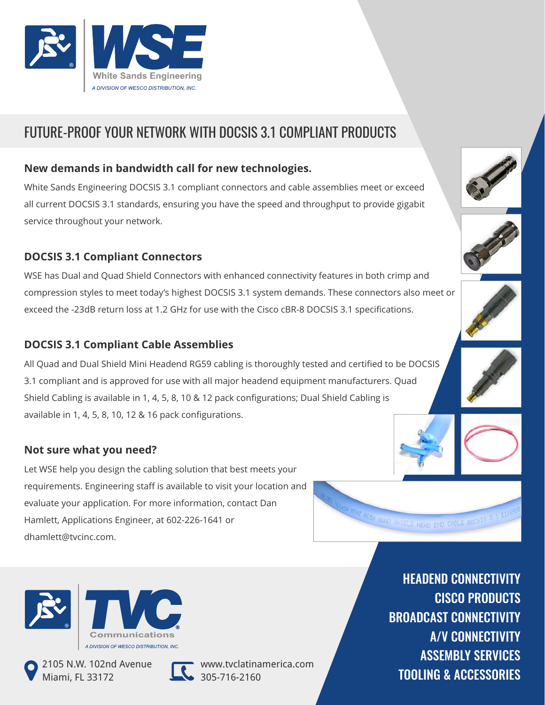

# FUTURE-PROOF YOUR NETWORK WITH DOCSIS 3.1 COMPLIANT PRODUCTS

### **New demands in bandwidth call for new technologies.**

White Sands Engineering DOCSIS 3.1 compliant connectors and cable assemblies meet or exceed all current DOCSIS 3.1 standards, ensuring you have the speed and throughput to provide gigabit service throughout your network.

#### **DOCSIS 3.1 Compliant Connectors**

WSE has Dual and Quad Shield Connectors with enhanced connectivity features in both crimp and compression styles to meet today's highest DOCSIS 3.1 system demands. These connectors also meet or exceed the -23dB return loss at 1.2 GHz for use with the Cisco cBR-8 DOCSIS 3.1 specifications.

## **DOCSIS 3.1 Compliant Cable Assemblies**

All Quad and Dual Shield Mini Headend RG59 cabling is thoroughly tested and certified to be DOCSIS 3.1 compliant and is approved for use with all major headend equipment manufacturers. Quad Shield Cabling is available in 1, 4, 5, 8, 10 & 12 pack configurations; Dual Shield Cabling is available in 1, 4, 5, 8, 10, 12 & 16 pack configurations.

#### **Not sure what you need?**

Let WSE help you design the cabling solution that best meets your requirements. Engineering staff is available to visit your location and evaluate your application. For more information, contact Dan Hamlett, Applications Engineer, at 602-226-1641 or dhamlett@tvcinc.com.





2105 N.W. 102nd Avenue Miami, FL 33172



www.tvclatinamerica.com 305-716-2160

HEADEND CONNECTIVITY CISCO PRODUCTS BROADCAST CONNECTIVITY A/V CONNECTIVITY ASSEMBLY SERVICES TOOLING & ACCESSORIES